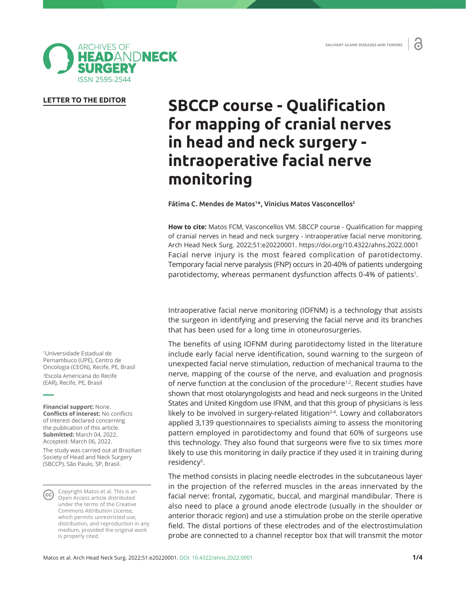ď



## **LETTER TO THE EDITOR**

# **SBCCP course - Qualification for mapping of cranial nerves in head and neck surgery intraoperative facial nerve monitoring**

Fátima C. Mendes de Matos<sup>1\*</sup>, Vinicius Matos Vasconcellos<sup>2</sup>

**How to cite:** Matos FCM, Vasconcellos VM. SBCCP course - Qualification for mapping of cranial nerves in head and neck surgery - intraoperative facial nerve monitoring. Arch Head Neck Surg. 2022;51:e20220001. https://doi.org/10.4322/ahns.2022.0001 Facial nerve injury is the most feared complication of parotidectomy. Temporary facial nerve paralysis (FNP) occurs in 20-40% of patients undergoing parotidectomy, whereas permanent dysfunction affects 0-4% of patients<sup>1</sup>.

Intraoperative facial nerve monitoring (IOFNM) is a technology that assists the surgeon in identifying and preserving the facial nerve and its branches that has been used for a long time in otoneurosurgeries.

The benefits of using IOFNM during parotidectomy listed in the literature include early facial nerve identification, sound warning to the surgeon of unexpected facial nerve stimulation, reduction of mechanical trauma to the nerve, mapping of the course of the nerve, and evaluation and prognosis of nerve function at the conclusion of the procedure<sup>1,2</sup>. Recent studies have shown that most otolaryngologists and head and neck surgeons in the United States and United Kingdom use IFNM, and that this group of physicians is less likely to be involved in surgery-related litigation $2-4$ . Lowry and collaborators applied 3,139 questionnaires to specialists aiming to assess the monitoring pattern employed in parotidectomy and found that 60% of surgeons use this technology. They also found that surgeons were five to six times more likely to use this monitoring in daily practice if they used it in training during residency<sup>5</sup>.

The method consists in placing needle electrodes in the subcutaneous layer in the projection of the referred muscles in the areas innervated by the facial nerve: frontal, zygomatic, buccal, and marginal mandibular. There is also need to place a ground anode electrode (usually in the shoulder or anterior thoracic region) and use a stimulation probe on the sterile operative field. The distal portions of these electrodes and of the electrostimulation probe are connected to a channel receptor box that will transmit the motor

1 Universidade Estadual de Pernambuco (UPE), Centro de Oncologia (CEON), Recife, PE, Brasil 2 Escola Americana do Recife (EAR), Recife, PE, Brasil

**Financial support:** None. **Conflicts of interest:** No conflicts of interest declared concerning the publication of this article. **Submitted:** March 04, 2022. Accepted: March 06, 2022.

The study was carried out at Brazilian Society of Head and Neck Surgery (SBCCP), São Paulo, SP, Brasil.

Copyright Matos et al. This is an **CC** Copyright mates of the Croative under the terms of the Creative Commons Attribution License, which permits unrestricted use, distribution, and reproduction in any medium, provided the original work is properly cited.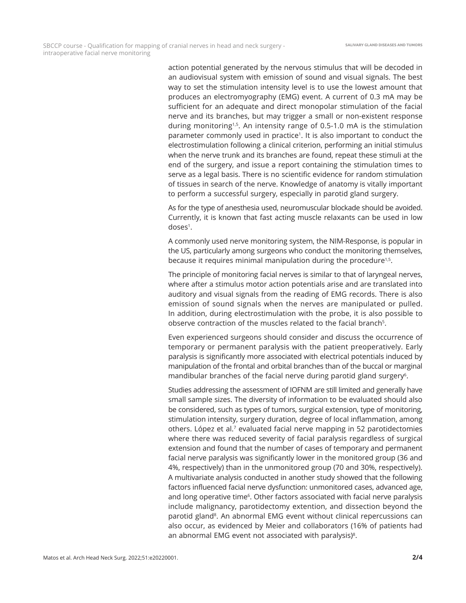action potential generated by the nervous stimulus that will be decoded in an audiovisual system with emission of sound and visual signals. The best way to set the stimulation intensity level is to use the lowest amount that produces an electromyography (EMG) event. A current of 0.3 mA may be sufficient for an adequate and direct monopolar stimulation of the facial nerve and its branches, but may trigger a small or non-existent response during monitoring<sup>1,5</sup>. An intensity range of 0.5-1.0 mA is the stimulation parameter commonly used in practice<sup>1</sup>. It is also important to conduct the electrostimulation following a clinical criterion, performing an initial stimulus when the nerve trunk and its branches are found, repeat these stimuli at the end of the surgery, and issue a report containing the stimulation times to serve as a legal basis. There is no scientific evidence for random stimulation of tissues in search of the nerve. Knowledge of anatomy is vitally important to perform a successful surgery, especially in parotid gland surgery.

As for the type of anesthesia used, neuromuscular blockade should be avoided. Currently, it is known that fast acting muscle relaxants can be used in low doses<sup>1</sup>.

A commonly used nerve monitoring system, the NIM-Response, is popular in the US, particularly among surgeons who conduct the monitoring themselves, because it requires minimal manipulation during the procedure<sup>1,5</sup>.

The principle of monitoring facial nerves is similar to that of laryngeal nerves, where after a stimulus motor action potentials arise and are translated into auditory and visual signals from the reading of EMG records. There is also emission of sound signals when the nerves are manipulated or pulled. In addition, during electrostimulation with the probe, it is also possible to observe contraction of the muscles related to the facial branch<sup>5</sup>.

Even experienced surgeons should consider and discuss the occurrence of temporary or permanent paralysis with the patient preoperatively. Early paralysis is significantly more associated with electrical potentials induced by manipulation of the frontal and orbital branches than of the buccal or marginal mandibular branches of the facial nerve during parotid gland surgery<sup>6</sup>.

Studies addressing the assessment of IOFNM are still limited and generally have small sample sizes. The diversity of information to be evaluated should also be considered, such as types of tumors, surgical extension, type of monitoring, stimulation intensity, surgery duration, degree of local inflammation, among others. López et al.<sup>7</sup> evaluated facial nerve mapping in 52 parotidectomies where there was reduced severity of facial paralysis regardless of surgical extension and found that the number of cases of temporary and permanent facial nerve paralysis was significantly lower in the monitored group (36 and 4%, respectively) than in the unmonitored group (70 and 30%, respectively). A multivariate analysis conducted in another study showed that the following factors influenced facial nerve dysfunction: unmonitored cases, advanced age, and long operative time<sup>6</sup>. Other factors associated with facial nerve paralysis include malignancy, parotidectomy extention, and dissection beyond the parotid gland<sup>8</sup>. An abnormal EMG event without clinical repercussions can also occur, as evidenced by Meier and collaborators (16% of patients had an abnormal EMG event not associated with paralysis)<sup>8</sup>.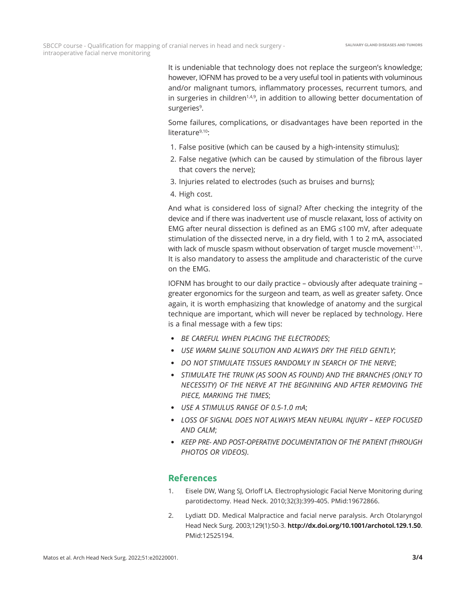It is undeniable that technology does not replace the surgeon's knowledge; however, IOFNM has proved to be a very useful tool in patients with voluminous and/or malignant tumors, inflammatory processes, recurrent tumors, and in surgeries in children<sup>1,4,9</sup>, in addition to allowing better documentation of surgeries<sup>9</sup>.

Some failures, complications, or disadvantages have been reported in the literature<sup>9,10</sup>:

- 1. False positive (which can be caused by a high-intensity stimulus);
- 2. False negative (which can be caused by stimulation of the fibrous layer that covers the nerve);
- 3. Injuries related to electrodes (such as bruises and burns);
- 4. High cost.

And what is considered loss of signal? After checking the integrity of the device and if there was inadvertent use of muscle relaxant, loss of activity on EMG after neural dissection is defined as an EMG ≤100 mV, after adequate stimulation of the dissected nerve, in a dry field, with 1 to 2 mA, associated with lack of muscle spasm without observation of target muscle movement $1,11$ . It is also mandatory to assess the amplitude and characteristic of the curve on the EMG.

IOFNM has brought to our daily practice – obviously after adequate training – greater ergonomics for the surgeon and team, as well as greater safety. Once again, it is worth emphasizing that knowledge of anatomy and the surgical technique are important, which will never be replaced by technology. Here is a final message with a few tips:

- *BE CAREFUL WHEN PLACING THE ELECTRODES*;
- *USE WARM SALINE SOLUTION AND ALWAYS DRY THE FIELD GENTLY*;
- *DO NOT STIMULATE TISSUES RANDOMLY IN SEARCH OF THE NERVE*;
- *STIMULATE THE TRUNK (AS SOON AS FOUND) AND THE BRANCHES (ONLY TO NECESSITY) OF THE NERVE AT THE BEGINNING AND AFTER REMOVING THE PIECE, MARKING THE TIMES*;
- *USE A STIMULUS RANGE OF 0.5-1.0 mA*;
- *LOSS OF SIGNAL DOES NOT ALWAYS MEAN NEURAL INJURY KEEP FOCUSED AND CALM*;
- *KEEP PRE- AND POST-OPERATIVE DOCUMENTATION OF THE PATIENT (THROUGH PHOTOS OR VIDEOS)*.

## **References**

- 1. Eisele DW, Wang SJ, Orloff LA. Electrophysiologic Facial Nerve Monitoring during parotidectomy. Head Neck. 2010;32(3):399-405. [PMid:19672866.](https://www.ncbi.nlm.nih.gov/entrez/query.fcgi?cmd=Retrieve&db=PubMed&list_uids=19672866&dopt=Abstract)
- 2. Lydiatt DD. Medical Malpractice and facial nerve paralysis. Arch Otolaryngol Head Neck Surg. 2003;129(1):50-3. **[http://dx.doi.org/10.1001/archotol.129.1.50](https://doi.org/10.1001/archotol.129.1.50)**. [PMid:12525194.](https://www.ncbi.nlm.nih.gov/entrez/query.fcgi?cmd=Retrieve&db=PubMed&list_uids=12525194&dopt=Abstract)